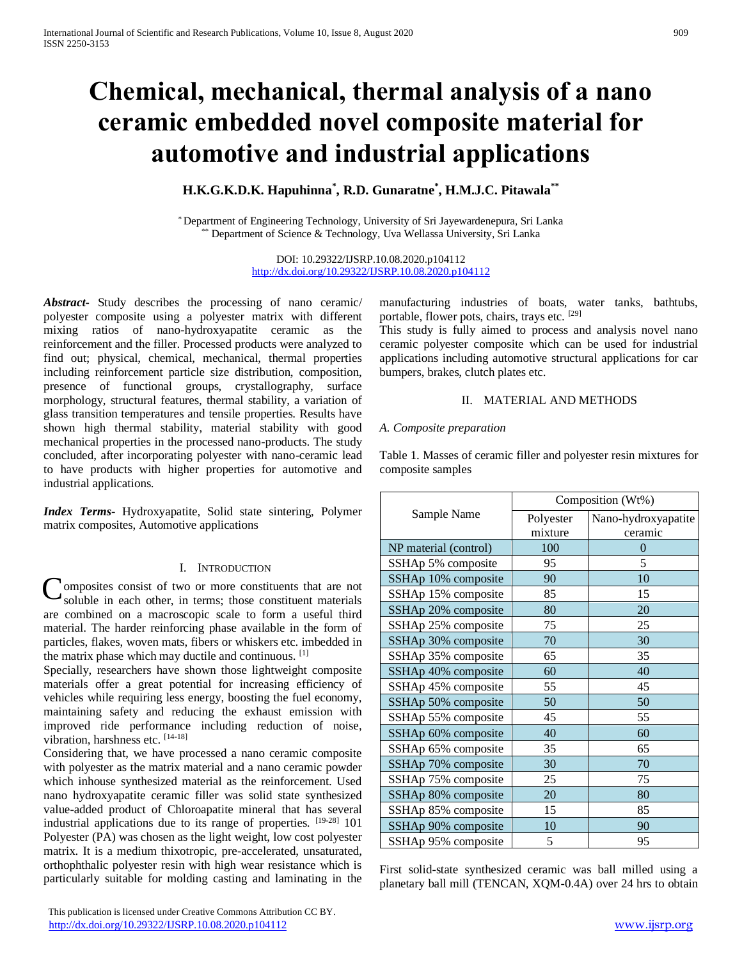# **Chemical, mechanical, thermal analysis of a nano ceramic embedded novel composite material for automotive and industrial applications**

# **H.K.G.K.D.K. Hapuhinna\* , R.D. Gunaratne\* , H.M.J.C. Pitawala\*\***

\* Department of Engineering Technology, University of Sri Jayewardenepura, Sri Lanka Department of Science & Technology, Uva Wellassa University, Sri Lanka

> DOI: 10.29322/IJSRP.10.08.2020.p104112 <http://dx.doi.org/10.29322/IJSRP.10.08.2020.p104112>

*Abstract***-** Study describes the processing of nano ceramic/ polyester composite using a polyester matrix with different mixing ratios of nano-hydroxyapatite ceramic as the reinforcement and the filler. Processed products were analyzed to find out; physical, chemical, mechanical, thermal properties including reinforcement particle size distribution, composition, presence of functional groups, crystallography, surface morphology, structural features, thermal stability, a variation of glass transition temperatures and tensile properties. Results have shown high thermal stability, material stability with good mechanical properties in the processed nano-products. The study concluded, after incorporating polyester with nano-ceramic lead to have products with higher properties for automotive and industrial applications.

*Index Terms*- Hydroxyapatite, Solid state sintering, Polymer matrix composites, Automotive applications

#### I. INTRODUCTION

**C**omposites consist of two or more constituents that are not soluble in each other, in terms; those constituent materials soluble in each other, in terms; those constituent materials are combined on a macroscopic scale to form a useful third material. The harder reinforcing phase available in the form of particles, flakes, woven mats, fibers or whiskers etc. imbedded in the matrix phase which may ductile and continuous. [1]

Specially, researchers have shown those lightweight composite materials offer a great potential for increasing efficiency of vehicles while requiring less energy, boosting the fuel economy, maintaining safety and reducing the exhaust emission with improved ride performance including reduction of noise, vibration, harshness etc. [14-18]

Considering that, we have processed a nano ceramic composite with polyester as the matrix material and a nano ceramic powder which inhouse synthesized material as the reinforcement. Used nano hydroxyapatite ceramic filler was solid state synthesized value-added product of Chloroapatite mineral that has several industrial applications due to its range of properties. [19-28] 101 Polyester (PA) was chosen as the light weight, low cost polyester matrix. It is a medium thixotropic, pre-accelerated, unsaturated, orthophthalic polyester resin with high wear resistance which is particularly suitable for molding casting and laminating in the

manufacturing industries of boats, water tanks, bathtubs, portable, flower pots, chairs, trays etc. [29]

This study is fully aimed to process and analysis novel nano ceramic polyester composite which can be used for industrial applications including automotive structural applications for car bumpers, brakes, clutch plates etc.

# II. MATERIAL AND METHODS

#### *A. Composite preparation*

Table 1. Masses of ceramic filler and polyester resin mixtures for composite samples

|                       | Composition (Wt%) |                     |  |  |  |
|-----------------------|-------------------|---------------------|--|--|--|
| Sample Name           | Polyester         | Nano-hydroxyapatite |  |  |  |
|                       | mixture           | ceramic             |  |  |  |
| NP material (control) | 100               | $\overline{0}$      |  |  |  |
| SSHAp 5% composite    | 95                | 5                   |  |  |  |
| SSHAp 10% composite   | 90                | 10                  |  |  |  |
| SSHAp 15% composite   | 85                | 15                  |  |  |  |
| SSHAp 20% composite   | 80                | 20                  |  |  |  |
| SSHAp 25% composite   | 75                | 25                  |  |  |  |
| SSHAp 30% composite   | 70                | 30                  |  |  |  |
| SSHAp 35% composite   | 65                | 35                  |  |  |  |
| SSHAp 40% composite   | 60                | 40                  |  |  |  |
| SSHAp 45% composite   | 55                | 45                  |  |  |  |
| SSHAp 50% composite   | 50                | 50                  |  |  |  |
| SSHAp 55% composite   | 45                | 55                  |  |  |  |
| SSHAp 60% composite   | 40                | 60                  |  |  |  |
| SSHAp 65% composite   | 35                | 65                  |  |  |  |
| SSHAp 70% composite   | 30                | 70                  |  |  |  |
| SSHAp 75% composite   | 25                | 75                  |  |  |  |
| SSHAp 80% composite   | 20                | 80                  |  |  |  |
| SSHAp 85% composite   | 15                | 85                  |  |  |  |
| SSHAp 90% composite   | 10                | 90                  |  |  |  |
| SSHAp 95% composite   | 5                 | 95                  |  |  |  |

First solid-state synthesized ceramic was ball milled using a planetary ball mill (TENCAN, XQM-0.4A) over 24 hrs to obtain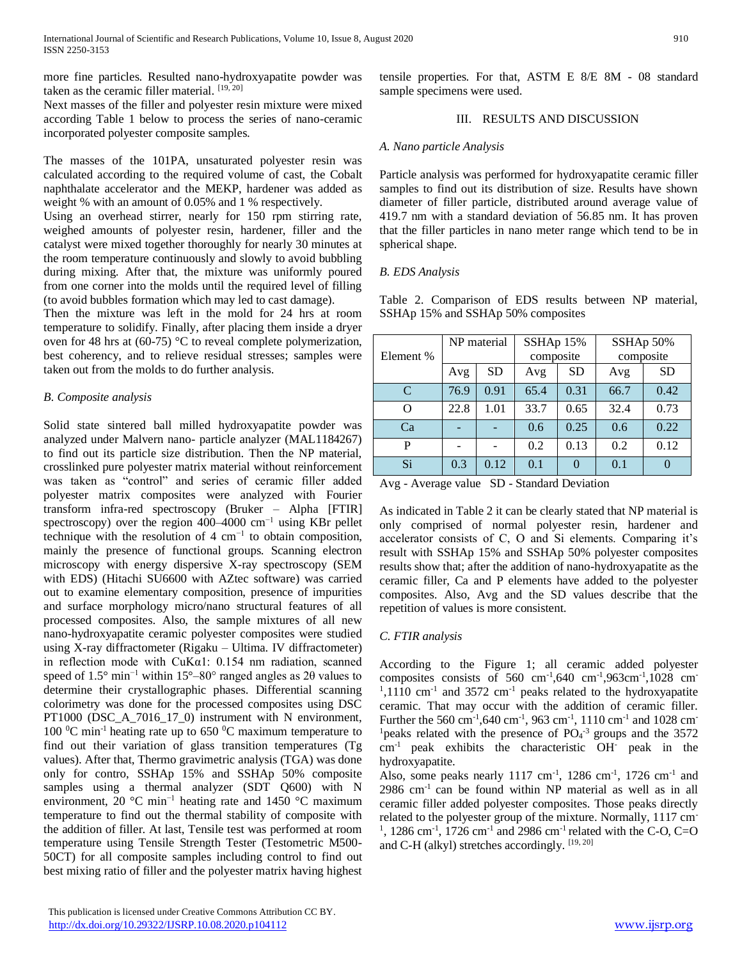more fine particles. Resulted nano-hydroxyapatite powder was taken as the ceramic filler material. [19, 20]

Next masses of the filler and polyester resin mixture were mixed according Table 1 below to process the series of nano-ceramic incorporated polyester composite samples.

The masses of the 101PA, unsaturated polyester resin was calculated according to the required volume of cast, the Cobalt naphthalate accelerator and the MEKP, hardener was added as weight % with an amount of 0.05% and 1 % respectively.

Using an overhead stirrer, nearly for 150 rpm stirring rate, weighed amounts of polyester resin, hardener, filler and the catalyst were mixed together thoroughly for nearly 30 minutes at the room temperature continuously and slowly to avoid bubbling during mixing. After that, the mixture was uniformly poured from one corner into the molds until the required level of filling (to avoid bubbles formation which may led to cast damage).

Then the mixture was left in the mold for 24 hrs at room temperature to solidify. Finally, after placing them inside a dryer oven for 48 hrs at (60-75) °C to reveal complete polymerization, best coherency, and to relieve residual stresses; samples were taken out from the molds to do further analysis.

# *B. Composite analysis*

Solid state sintered ball milled hydroxyapatite powder was analyzed under Malvern nano- particle analyzer (MAL1184267) to find out its particle size distribution. Then the NP material, crosslinked pure polyester matrix material without reinforcement was taken as "control" and series of ceramic filler added polyester matrix composites were analyzed with Fourier transform infra-red spectroscopy (Bruker – Alpha [FTIR] spectroscopy) over the region 400–4000 cm<sup>-1</sup> using KBr pellet technique with the resolution of 4  $cm^{-1}$  to obtain composition, mainly the presence of functional groups. Scanning electron microscopy with energy dispersive X-ray spectroscopy (SEM with EDS) (Hitachi SU6600 with AZtec software) was carried out to examine elementary composition, presence of impurities and surface morphology micro/nano structural features of all processed composites. Also, the sample mixtures of all new nano-hydroxyapatite ceramic polyester composites were studied using X-ray diffractometer (Rigaku – Ultima. IV diffractometer) in reflection mode with CuKα1: 0.154 nm radiation, scanned speed of 1.5° min<sup>-1</sup> within 15°–80° ranged angles as 2θ values to determine their crystallographic phases. Differential scanning colorimetry was done for the processed composites using DSC PT1000 (DSC\_A\_7016\_17\_0) instrument with N environment, 100  $^{\circ}$ C min<sup>-1</sup> heating rate up to 650  $^{\circ}$ C maximum temperature to find out their variation of glass transition temperatures (Tg values). After that, Thermo gravimetric analysis (TGA) was done only for contro, SSHAp 15% and SSHAp 50% composite samples using a thermal analyzer (SDT Q600) with N environment, 20 °C min−1 heating rate and 1450 °C maximum temperature to find out the thermal stability of composite with the addition of filler. At last, Tensile test was performed at room temperature using Tensile Strength Tester (Testometric M500- 50CT) for all composite samples including control to find out best mixing ratio of filler and the polyester matrix having highest tensile properties. For that, ASTM E 8/E 8M - 08 standard sample specimens were used.

## III. RESULTS AND DISCUSSION

# *A. Nano particle Analysis*

Particle analysis was performed for hydroxyapatite ceramic filler samples to find out its distribution of size. Results have shown diameter of filler particle, distributed around average value of 419.7 nm with a standard deviation of 56.85 nm. It has proven that the filler particles in nano meter range which tend to be in spherical shape.

# *B. EDS Analysis*

Table 2. Comparison of EDS results between NP material, SSHAp 15% and SSHAp 50% composites

|           | NP material |           | SSHAp 15% |           | SSHAp 50% |           |
|-----------|-------------|-----------|-----------|-----------|-----------|-----------|
| Element % |             |           | composite |           | composite |           |
|           | Avg         | <b>SD</b> | Avg       | <b>SD</b> | Avg       | <b>SD</b> |
| C         | 76.9        | 0.91      | 65.4      | 0.31      | 66.7      | 0.42      |
| O         | 22.8        | 1.01      | 33.7      | 0.65      | 32.4      | 0.73      |
| Ca        |             |           | 0.6       | 0.25      | 0.6       | 0.22      |
| P         |             |           | 0.2       | 0.13      | 0.2       | 0.12      |
| Si        | 0.3         | 0.12      | 0.1       |           | 0.1       |           |

Avg - Average value SD - Standard Deviation

As indicated in Table 2 it can be clearly stated that NP material is only comprised of normal polyester resin, hardener and accelerator consists of C, O and Si elements. Comparing it's result with SSHAp 15% and SSHAp 50% polyester composites results show that; after the addition of nano-hydroxyapatite as the ceramic filler, Ca and P elements have added to the polyester composites. Also, Avg and the SD values describe that the repetition of values is more consistent.

# *C. FTIR analysis*

According to the Figure 1; all ceramic added polyester composites consists of 560  $cm^{-1}$ , 640  $cm^{-1}$ , 963 $cm^{-1}$ , 1028  $cm^{-1}$  $1,1110$  cm<sup>-1</sup> and 3572 cm<sup>-1</sup> peaks related to the hydroxyapatite ceramic. That may occur with the addition of ceramic filler. Further the 560 cm<sup>-1</sup>, 640 cm<sup>-1</sup>, 963 cm<sup>-1</sup>, 1110 cm<sup>-1</sup> and 1028 cm<sup>-</sup> <sup>1</sup> peaks related with the presence of  $PO<sub>4</sub><sup>-3</sup>$  groups and the 3572 cm-1 peak exhibits the characteristic OH- peak in the hydroxyapatite.

Also, some peaks nearly 1117 cm<sup>-1</sup>, 1286 cm<sup>-1</sup>, 1726 cm<sup>-1</sup> and 2986 cm-1 can be found within NP material as well as in all ceramic filler added polyester composites. Those peaks directly related to the polyester group of the mixture. Normally, 1117 cm-<sup>1</sup>, 1286 cm<sup>-1</sup>, 1726 cm<sup>-1</sup> and 2986 cm<sup>-1</sup> related with the C-O, C=O and C-H (alkyl) stretches accordingly. [19, 20]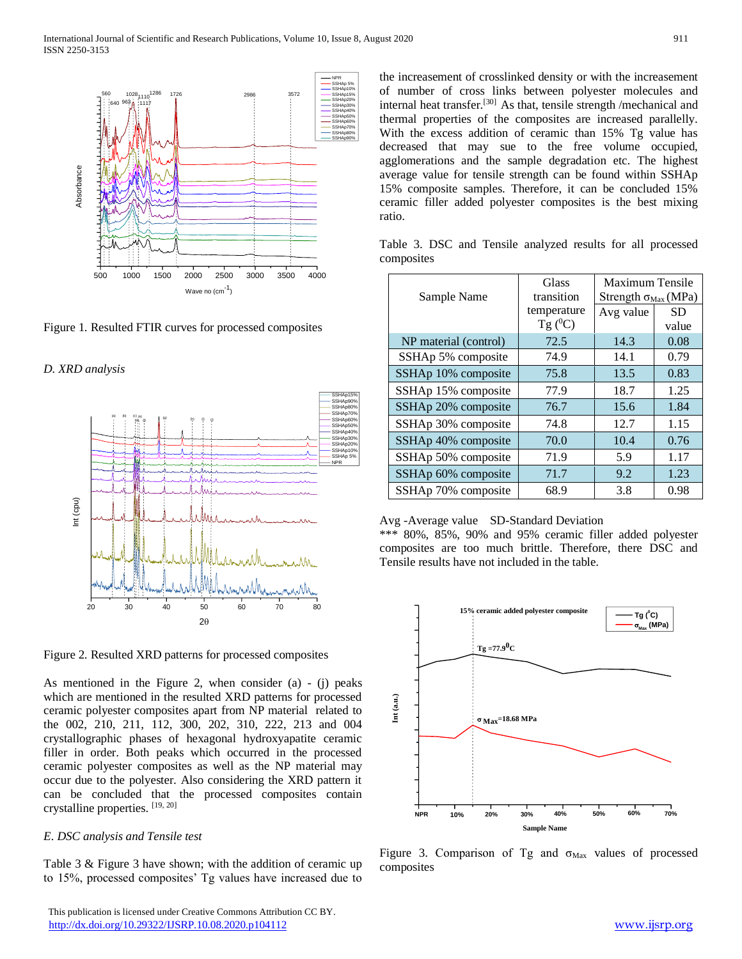

Figure 1. Resulted FTIR curves for processed composites

*D. XRD analysis* 



Figure 2. Resulted XRD patterns for processed composites

As mentioned in the Figure 2, when consider (a) - (j) peaks which are mentioned in the resulted XRD patterns for processed ceramic polyester composites apart from NP material related to the 002, 210, 211, 112, 300, 202, 310, 222, 213 and 004 crystallographic phases of hexagonal hydroxyapatite ceramic filler in order. Both peaks which occurred in the processed ceramic polyester composites as well as the NP material may occur due to the polyester. Also considering the XRD pattern it can be concluded that the processed composites contain crystalline properties. [19, 20]

#### *E. DSC analysis and Tensile test*

Table 3 & Figure 3 have shown; with the addition of ceramic up to 15%, processed composites' Tg values have increased due to

 This publication is licensed under Creative Commons Attribution CC BY. <http://dx.doi.org/10.29322/IJSRP.10.08.2020.p104112> [www.ijsrp.org](http://ijsrp.org/)

the increasement of crosslinked density or with the increasement of number of cross links between polyester molecules and internal heat transfer.[30] As that, tensile strength /mechanical and thermal properties of the composites are increased parallelly. With the excess addition of ceramic than 15% Tg value has decreased that may sue to the free volume occupied, agglomerations and the sample degradation etc. The highest average value for tensile strength can be found within SSHAp 15% composite samples. Therefore, it can be concluded 15% ceramic filler added polyester composites is the best mixing ratio.

|            |  |  |  |  | Table 3. DSC and Tensile analyzed results for all processed |
|------------|--|--|--|--|-------------------------------------------------------------|
| composites |  |  |  |  |                                                             |

| Sample Name           | Glass<br>transition       | Maximum Tensile<br>Strength $\sigma_{Max}$ (MPa) |                    |  |
|-----------------------|---------------------------|--------------------------------------------------|--------------------|--|
|                       | temperature<br>Tg $(^0C)$ | Avg value                                        | <b>SD</b><br>value |  |
| NP material (control) | 72.5                      | 14.3                                             | 0.08               |  |
| SSHAp 5% composite    | 74.9                      | 14.1                                             | 0.79               |  |
| SSHAp 10% composite   | 75.8                      | 13.5                                             | 0.83               |  |
| SSHAp 15% composite   | 77.9                      | 18.7                                             | 1.25               |  |
| SSHAp 20% composite   | 76.7                      | 15.6                                             | 1.84               |  |
| SSHAp 30% composite   | 74.8                      | 12.7                                             | 1.15               |  |
| SSHAp 40% composite   | 70.0                      | 10.4                                             | 0.76               |  |
| SSHAp 50% composite   | 71.9                      | 5.9                                              | 1.17               |  |
| SSHAp 60% composite   | 71.7                      | 9.2                                              | 1.23               |  |
| SSHAp 70% composite   | 68.9                      | 3.8                                              | 0.98               |  |

#### Avg -Average value SD-Standard Deviation

\*\*\* 80%, 85%, 90% and 95% ceramic filler added polyester composites are too much brittle. Therefore, there DSC and Tensile results have not included in the table.



Figure 3. Comparison of Tg and  $\sigma_{\text{Max}}$  values of processed composites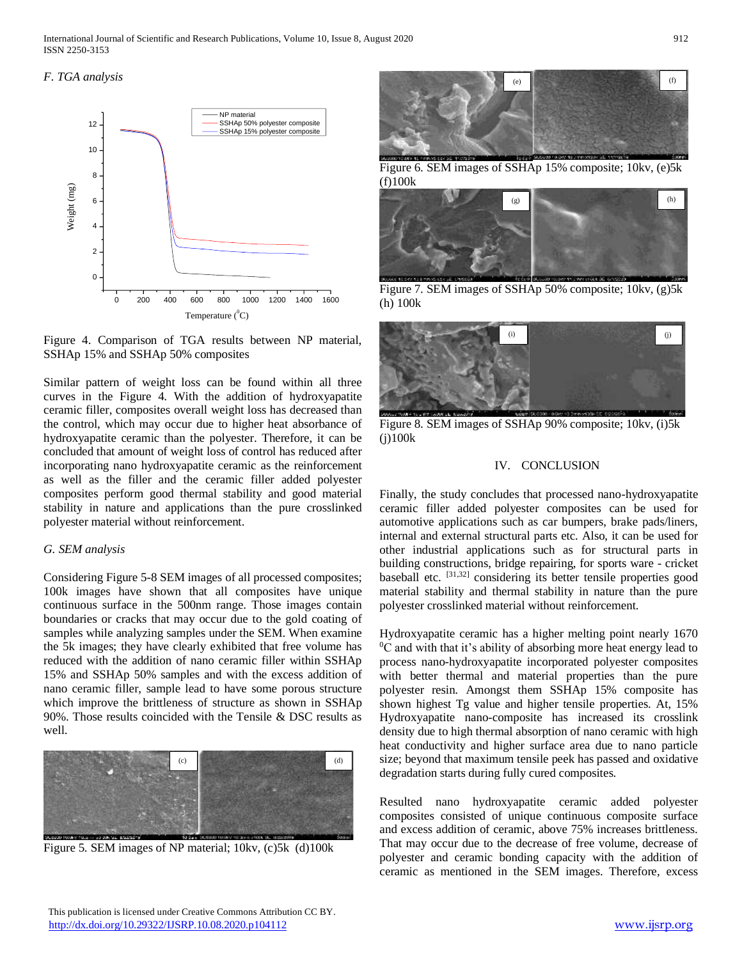International Journal of Scientific and Research Publications, Volume 10, Issue 8, August 2020 912 ISSN 2250-3153

# *F. TGA analysis*



Figure 4. Comparison of TGA results between NP material, SSHAp 15% and SSHAp 50% composites

Similar pattern of weight loss can be found within all three curves in the Figure 4. With the addition of hydroxyapatite ceramic filler, composites overall weight loss has decreased than the control, which may occur due to higher heat absorbance of hydroxyapatite ceramic than the polyester. Therefore, it can be concluded that amount of weight loss of control has reduced after incorporating nano hydroxyapatite ceramic as the reinforcement as well as the filler and the ceramic filler added polyester composites perform good thermal stability and good material stability in nature and applications than the pure crosslinked polyester material without reinforcement.

#### *G. SEM analysis*

Considering Figure 5-8 SEM images of all processed composites; 100k images have shown that all composites have unique continuous surface in the 500nm range. Those images contain boundaries or cracks that may occur due to the gold coating of samples while analyzing samples under the SEM. When examine the 5k images; they have clearly exhibited that free volume has reduced with the addition of nano ceramic filler within SSHAp 15% and SSHAp 50% samples and with the excess addition of nano ceramic filler, sample lead to have some porous structure which improve the brittleness of structure as shown in SSHAp 90%. Those results coincided with the Tensile & DSC results as well.



Figure 5. SEM images of NP material; 10kv, (c)5k (d)100k



Figure 6. SEM images of SSHAp 15% composite; 10kv, (e)5k (f)100k



Figure 7. SEM images of SSHAp 50% composite; 10kv, (g)5k (h) 100k



Figure 8. SEM images of SSHAp 90% composite; 10kv, (i)5k (j)100k

#### IV. CONCLUSION

Finally, the study concludes that processed nano-hydroxyapatite ceramic filler added polyester composites can be used for automotive applications such as car bumpers, brake pads/liners, internal and external structural parts etc. Also, it can be used for other industrial applications such as for structural parts in building constructions, bridge repairing, for sports ware - cricket baseball etc. <sup>[31,32]</sup> considering its better tensile properties good material stability and thermal stability in nature than the pure polyester crosslinked material without reinforcement.

Hydroxyapatite ceramic has a higher melting point nearly 1670  $\rm{^{0}C}$  and with that it's ability of absorbing more heat energy lead to process nano-hydroxyapatite incorporated polyester composites with better thermal and material properties than the pure polyester resin. Amongst them SSHAp 15% composite has shown highest Tg value and higher tensile properties. At, 15% Hydroxyapatite nano-composite has increased its crosslink density due to high thermal absorption of nano ceramic with high heat conductivity and higher surface area due to nano particle size; beyond that maximum tensile peek has passed and oxidative degradation starts during fully cured composites.

Resulted nano hydroxyapatite ceramic added polyester composites consisted of unique continuous composite surface and excess addition of ceramic, above 75% increases brittleness. That may occur due to the decrease of free volume, decrease of polyester and ceramic bonding capacity with the addition of ceramic as mentioned in the SEM images. Therefore, excess